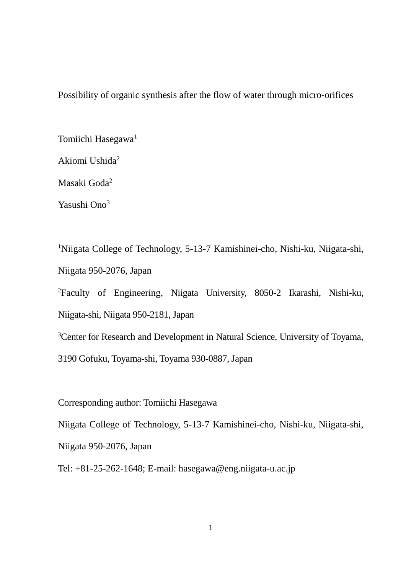Possibility of organic synthesis after the flow of water through micro-orifices

Tomiichi Hasegawa<sup>1</sup>

Akiomi Ushida<sup>2</sup>

Masaki Goda<sup>2</sup>

Yasushi Ono<sup>3</sup>

<sup>1</sup>Niigata College of Technology, 5-13-7 Kamishinei-cho, Nishi-ku, Niigata-shi, Niigata 950-2076, Japan

<sup>2</sup>Faculty of Engineering, Niigata University, 8050-2 Ikarashi, Nishi-ku, Niigata-shi, Niigata 950-2181, Japan

<sup>3</sup>Center for Research and Development in Natural Science, University of Toyama,

3190 Gofuku, Toyama-shi, Toyama 930-0887, Japan

Corresponding author: Tomiichi Hasegawa

Niigata College of Technology, 5-13-7 Kamishinei-cho, Nishi-ku, Niigata-shi,

Niigata 950-2076, Japan

Tel: +81-25-262-1648; E-mail: hasegawa@eng.niigata-u.ac.jp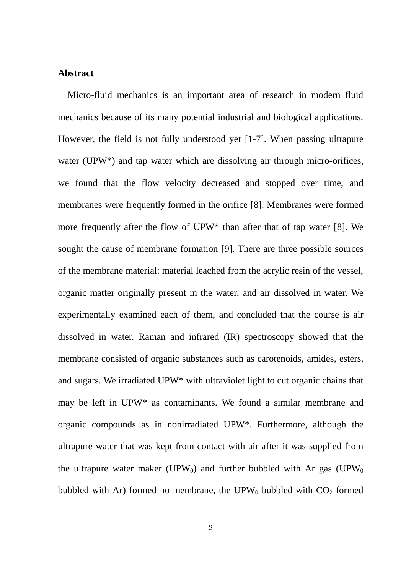## **Abstract**

Micro-fluid mechanics is an important area of research in modern fluid mechanics because of its many potential industrial and biological applications. However, the field is not fully understood yet [1-7]. When passing ultrapure water (UPW<sup>\*</sup>) and tap water which are dissolving air through micro-orifices, we found that the flow velocity decreased and stopped over time, and membranes were frequently formed in the orifice [8]. Membranes were formed more frequently after the flow of UPW\* than after that of tap water [8]. We sought the cause of membrane formation [9]. There are three possible sources of the membrane material: material leached from the acrylic resin of the vessel, organic matter originally present in the water, and air dissolved in water. We experimentally examined each of them, and concluded that the course is air dissolved in water. Raman and infrared (IR) spectroscopy showed that the membrane consisted of organic substances such as carotenoids, amides, esters, and sugars. We irradiated UPW\* with ultraviolet light to cut organic chains that may be left in UPW\* as contaminants. We found a similar membrane and organic compounds as in nonirradiated UPW\*. Furthermore, although the ultrapure water that was kept from contact with air after it was supplied from the ultrapure water maker (UPW<sub>0</sub>) and further bubbled with Ar gas (UPW<sub>0</sub>) bubbled with Ar) formed no membrane, the  $UPW_0$  bubbled with  $CO_2$  formed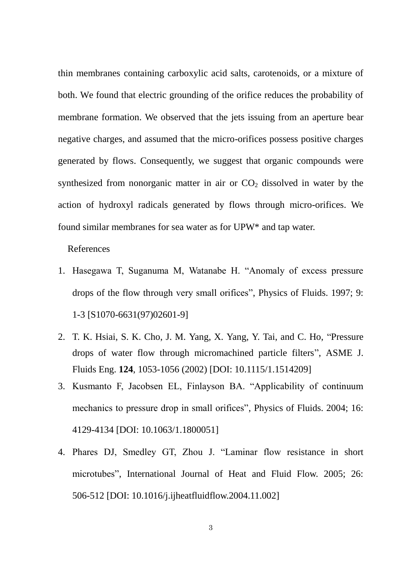thin membranes containing carboxylic acid salts, carotenoids, or a mixture of both. We found that electric grounding of the orifice reduces the probability of membrane formation. We observed that the jets issuing from an aperture bear negative charges, and assumed that the micro-orifices possess positive charges generated by flows. Consequently, we suggest that organic compounds were synthesized from nonorganic matter in air or  $CO<sub>2</sub>$  dissolved in water by the action of hydroxyl radicals generated by flows through micro-orifices. We found similar membranes for sea water as for UPW\* and tap water.

References

- 1. Hasegawa T, Suganuma M, Watanabe H. "Anomaly of excess pressure drops of the flow through very small orifices", Physics of Fluids. 1997; 9: 1-3 [S1070-6631(97)02601-9]
- 2. T. K. Hsiai, S. K. Cho, J. M. Yang, X. Yang, Y. Tai, and C. Ho, "Pressure drops of water flow through micromachined particle filters", ASME J. Fluids Eng. **124**, 1053-1056 (2002) [DOI: 10.1115/1.1514209]
- 3. Kusmanto F, Jacobsen EL, Finlayson BA. "Applicability of continuum mechanics to pressure drop in small orifices", Physics of Fluids. 2004; 16: 4129-4134 [DOI: 10.1063/1.1800051]
- 4. Phares DJ, Smedley GT, Zhou J. "Laminar flow resistance in short microtubes", International Journal of Heat and Fluid Flow. 2005; 26: 506-512 [DOI: 10.1016/j.ijheatfluidflow.2004.11.002]